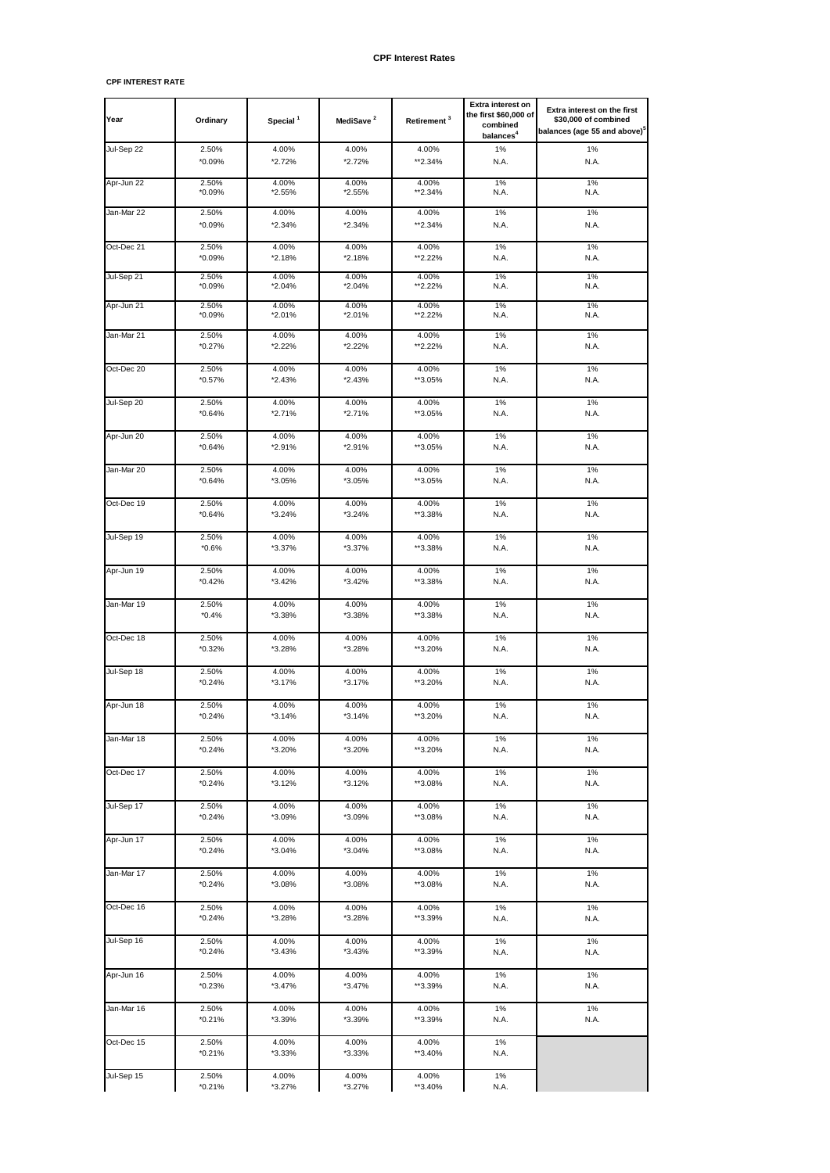## **CPF INTEREST RATE**

| Year       | Ordinary        | Special <sup>1</sup> | MediSave <sup>2</sup> | Retirement <sup>3</sup> | Extra interest on<br>the first \$60,000 of<br>combined<br>balances <sup>4</sup> | Extra interest on the first<br>\$30,000 of combined<br>balances (age 55 and above) <sup>5</sup> |
|------------|-----------------|----------------------|-----------------------|-------------------------|---------------------------------------------------------------------------------|-------------------------------------------------------------------------------------------------|
| Jul-Sep 22 | 2.50%           | 4.00%                | 4.00%                 | 4.00%                   | 1%                                                                              | 1%                                                                                              |
|            | *0.09%          | *2.72%               | *2.72%                | **2.34%                 | N.A.                                                                            | N.A.                                                                                            |
| Apr-Jun 22 | 2.50%           | 4.00%                | 4.00%                 | 4.00%                   | 1%                                                                              | 1%                                                                                              |
|            | *0.09%          | *2.55%               | *2.55%                | **2.34%                 | N.A.                                                                            | N.A.                                                                                            |
| Jan-Mar 22 | 2.50%           | 4.00%                | 4.00%                 | 4.00%                   | 1%                                                                              | 1%                                                                                              |
|            | *0.09%          | *2.34%               | *2.34%                | **2.34%                 | N.A.                                                                            | N.A.                                                                                            |
| Oct-Dec 21 | 2.50%           | 4.00%                | 4.00%                 | 4.00%                   | 1%                                                                              | 1%                                                                                              |
|            | *0.09%          | *2.18%               | *2.18%                | **2.22%                 | N.A.                                                                            | N.A.                                                                                            |
| Jul-Sep 21 | 2.50%           | 4.00%                | 4.00%                 | 4.00%                   | 1%                                                                              | 1%                                                                                              |
|            | *0.09%          | *2.04%               | *2.04%                | **2.22%                 | N.A.                                                                            | N.A.                                                                                            |
| Apr-Jun 21 | 2.50%           | 4.00%                | 4.00%                 | 4.00%                   | 1%                                                                              | 1%                                                                                              |
|            | $*0.09\%$       | *2.01%               | *2.01%                | **2.22%                 | N.A.                                                                            | N.A.                                                                                            |
| Jan-Mar 21 | 2.50%           | 4.00%                | 4.00%                 | 4.00%                   | 1%                                                                              | 1%                                                                                              |
|            | $*0.27\%$       | *2.22%               | *2.22%                | **2.22%                 | N.A.                                                                            | N.A.                                                                                            |
| Oct-Dec 20 | 2.50%           | 4.00%                | 4.00%                 | 4.00%                   | 1%                                                                              | 1%                                                                                              |
|            | $*0.57\%$       | *2.43%               | *2.43%                | **3.05%                 | N.A.                                                                            | N.A.                                                                                            |
| Jul-Sep 20 | 2.50%           | 4.00%                | 4.00%                 | 4.00%                   | 1%                                                                              | 1%                                                                                              |
|            | $*0.64%$        | *2.71%               | *2.71%                | **3.05%                 | N.A.                                                                            | N.A.                                                                                            |
| Apr-Jun 20 | 2.50%           | 4.00%                | 4.00%                 | 4.00%                   | 1%                                                                              | 1%                                                                                              |
|            | $*0.64%$        | *2.91%               | *2.91%                | **3.05%                 | N.A.                                                                            | N.A.                                                                                            |
| Jan-Mar 20 | 2.50%           | 4.00%                | 4.00%                 | 4.00%                   | 1%                                                                              | 1%                                                                                              |
|            | $*0.64%$        | *3.05%               | *3.05%                | **3.05%                 | N.A.                                                                            | N.A.                                                                                            |
| Oct-Dec 19 | 2.50%           | 4.00%                | 4.00%                 | 4.00%                   | 1%                                                                              | 1%                                                                                              |
|            | $*0.64%$        | *3.24%               | *3.24%                | **3.38%                 | N.A.                                                                            | N.A.                                                                                            |
| Jul-Sep 19 | 2.50%           | 4.00%                | 4.00%                 | 4.00%                   | 1%                                                                              | 1%                                                                                              |
|            | $*0.6%$         | *3.37%               | *3.37%                | **3.38%                 | N.A.                                                                            | N.A.                                                                                            |
| Apr-Jun 19 | 2.50%           | 4.00%                | 4.00%                 | 4.00%                   | 1%                                                                              | 1%                                                                                              |
|            | $*0.42%$        | *3.42%               | $*3.42%$              | **3.38%                 | N.A.                                                                            | N.A.                                                                                            |
| Jan-Mar 19 | 2.50%           | 4.00%                | 4.00%                 | 4.00%                   | 1%                                                                              | 1%                                                                                              |
|            | $*0.4%$         | *3.38%               | *3.38%                | **3.38%                 | N.A.                                                                            | N.A.                                                                                            |
| Oct-Dec 18 | 2.50%           | 4.00%                | 4.00%                 | 4.00%                   | 1%                                                                              | 1%                                                                                              |
|            | $*0.32%$        | *3.28%               | *3.28%                | **3.20%                 | N.A.                                                                            | N.A.                                                                                            |
| Jul-Sep 18 | 2.50%           | 4.00%                | 4.00%                 | 4.00%                   | 1%                                                                              | 1%                                                                                              |
|            | $*0.24%$        | $*3.17%$             | *3.17%                | **3.20%                 | N.A.                                                                            | N.A.                                                                                            |
| Apr-Jun 18 | 2.50%           | 4.00%                | 4.00%                 | 4.00%                   | 1%                                                                              | 1%                                                                                              |
|            | $*0.24%$        | $*3.14%$             | $*3.14%$              | **3.20%                 | N.A.                                                                            | N.A.                                                                                            |
| Jan-Mar 18 | 2.50%           | 4.00%                | 4.00%                 | 4.00%                   | 1%                                                                              | 1%                                                                                              |
|            | $*0.24%$        | *3.20%               | *3.20%                | **3.20%                 | N.A.                                                                            | N.A.                                                                                            |
| Oct-Dec 17 | 2.50%           | 4.00%                | 4.00%                 | 4.00%                   | 1%                                                                              | 1%                                                                                              |
|            | $*0.24%$        | *3.12%               | *3.12%                | **3.08%                 | N.A.                                                                            | N.A.                                                                                            |
| Jul-Sep 17 | 2.50%           | 4.00%                | 4.00%                 | 4.00%                   | 1%                                                                              | 1%                                                                                              |
|            | $*0.24%$        | *3.09%               | *3.09%                | **3.08%                 | N.A.                                                                            | N.A.                                                                                            |
| Apr-Jun 17 | 2.50%           | 4.00%                | 4.00%                 | 4.00%                   | 1%                                                                              | 1%                                                                                              |
|            | $*0.24%$        | *3.04%               | *3.04%                | **3.08%                 | N.A.                                                                            | N.A.                                                                                            |
| Jan-Mar 17 | 2.50%           | 4.00%                | 4.00%                 | 4.00%                   | 1%                                                                              | 1%                                                                                              |
|            | $*0.24%$        | *3.08%               | *3.08%                | **3.08%                 | N.A.                                                                            | N.A.                                                                                            |
| Oct-Dec 16 | 2.50%           | 4.00%                | 4.00%                 | 4.00%                   | 1%                                                                              | 1%                                                                                              |
|            | *0.24%          | *3.28%               | *3.28%                | **3.39%                 | N.A.                                                                            | N.A.                                                                                            |
| Jul-Sep 16 | 2.50%           | 4.00%                | 4.00%                 | 4.00%                   | 1%                                                                              | 1%                                                                                              |
|            | *0.24%          | *3.43%               | *3.43%                | **3.39%                 | N.A.                                                                            | N.A.                                                                                            |
| Apr-Jun 16 | 2.50%           | 4.00%                | 4.00%                 | 4.00%                   | 1%                                                                              | 1%                                                                                              |
|            | *0.23%          | *3.47%               | *3.47%                | **3.39%                 | N.A.                                                                            | N.A.                                                                                            |
| Jan-Mar 16 | 2.50%           | 4.00%                | 4.00%                 | 4.00%                   | 1%                                                                              | 1%                                                                                              |
|            | *0.21%          | *3.39%               | *3.39%                | **3.39%                 | N.A.                                                                            | N.A.                                                                                            |
| Oct-Dec 15 | 2.50%<br>*0.21% | 4.00%<br>*3.33%      | 4.00%<br>*3.33%       | 4.00%<br>**3.40%        | $1\%$<br>N.A.                                                                   |                                                                                                 |
| Jul-Sep 15 | 2.50%<br>*0.21% | 4.00%<br>*3.27%      | 4.00%<br>*3.27%       | 4.00%<br>**3.40%        | 1%<br>N.A.                                                                      |                                                                                                 |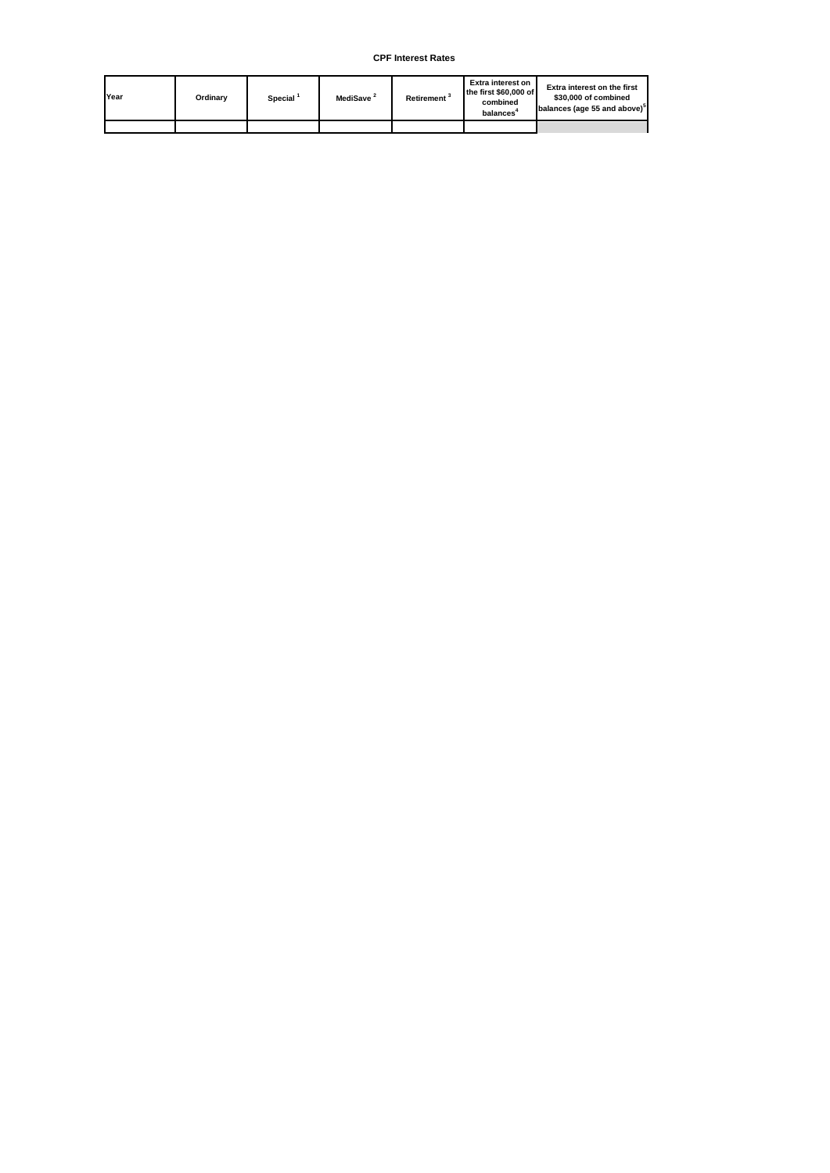| Year | Ordinarv | $\sf{Special}$ | MediSave <sup>2</sup> | <b>Retirement</b> <sup>3</sup> | Extra interest on<br>the first \$60,000 of<br>combined<br><b>balances</b> | <b>Extra interest on the first</b><br>\$30,000 of combined<br>balances (age 55 and above) <sup>5</sup> |
|------|----------|----------------|-----------------------|--------------------------------|---------------------------------------------------------------------------|--------------------------------------------------------------------------------------------------------|
|      |          |                |                       |                                |                                                                           |                                                                                                        |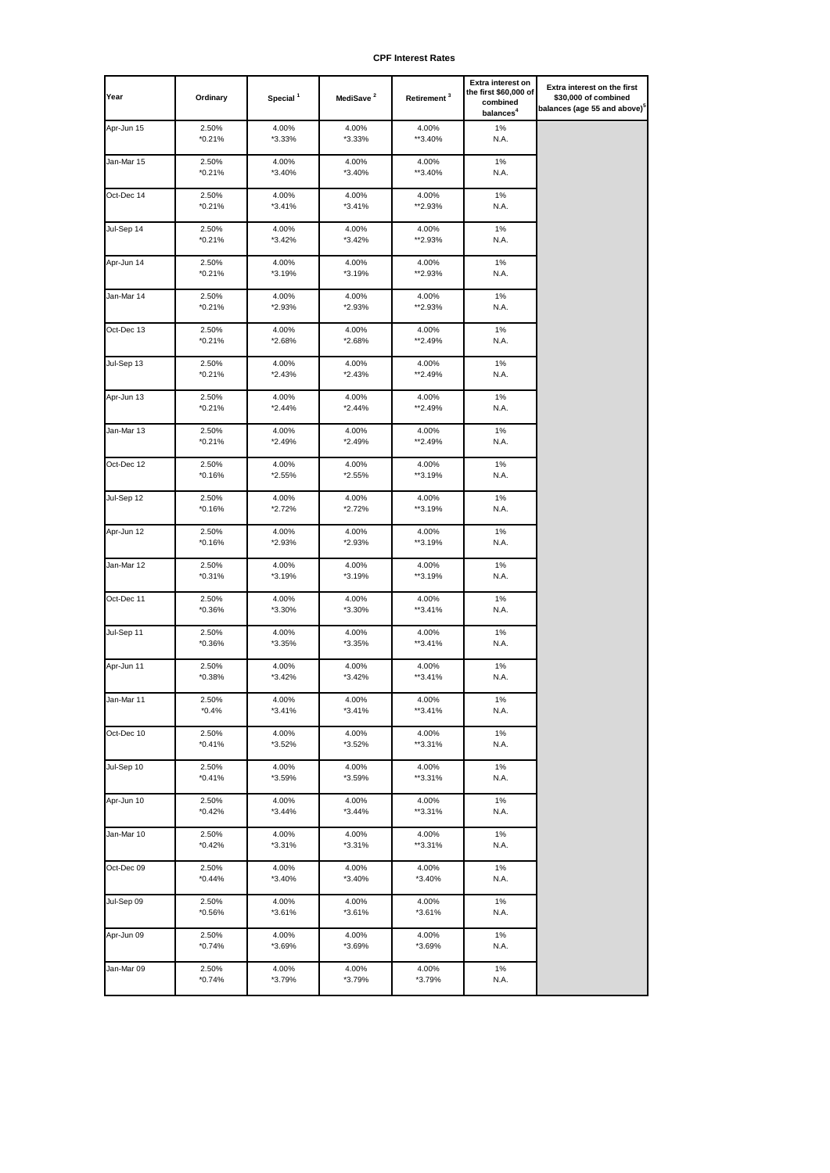| Year       | Ordinary          | Special <sup>1</sup> | MediSave <sup>2</sup> | Retirement <sup>3</sup> | Extra interest on<br>the first \$60,000 of<br>combined<br>balances <sup>4</sup> | Extra interest on the first<br>\$30,000 of combined<br>balances (age 55 and above) <sup>°</sup> |
|------------|-------------------|----------------------|-----------------------|-------------------------|---------------------------------------------------------------------------------|-------------------------------------------------------------------------------------------------|
| Apr-Jun 15 | 2.50%<br>*0.21%   | 4.00%<br>*3.33%      | 4.00%<br>*3.33%       | 4.00%<br>**3.40%        | $1\%$<br>N.A.                                                                   |                                                                                                 |
| Jan-Mar 15 | 2.50%<br>$*0.21%$ | 4.00%<br>*3.40%      | 4.00%<br>*3.40%       | 4.00%<br>**3.40%        | $1\%$<br>N.A.                                                                   |                                                                                                 |
| Oct-Dec 14 | 2.50%<br>$*0.21%$ | 4.00%<br>*3.41%      | 4.00%<br>*3.41%       | 4.00%<br>**2.93%        | $1\%$<br>N.A.                                                                   |                                                                                                 |
| Jul-Sep 14 | 2.50%<br>$*0.21%$ | 4.00%<br>*3.42%      | 4.00%<br>$*3.42%$     | 4.00%<br>**2.93%        | $1\%$<br>N.A.                                                                   |                                                                                                 |
| Apr-Jun 14 | 2.50%<br>*0.21%   | 4.00%<br>*3.19%      | 4.00%<br>*3.19%       | 4.00%<br>**2.93%        | 1%<br>N.A.                                                                      |                                                                                                 |
| Jan-Mar 14 | 2.50%<br>$*0.21%$ | 4.00%<br>*2.93%      | 4.00%<br>*2.93%       | 4.00%<br>**2.93%        | 1%<br>N.A.                                                                      |                                                                                                 |
| Oct-Dec 13 | 2.50%<br>$*0.21%$ | 4.00%<br>*2.68%      | 4.00%<br>*2.68%       | 4.00%<br>**2.49%        | 1%<br>N.A.                                                                      |                                                                                                 |
| Jul-Sep 13 | 2.50%<br>$*0.21%$ | 4.00%<br>*2.43%      | 4.00%<br>$*2.43%$     | 4.00%<br>**2.49%        | 1%<br>N.A.                                                                      |                                                                                                 |
| Apr-Jun 13 | 2.50%<br>$*0.21%$ | 4.00%<br>*2.44%      | 4.00%<br>$*2.44%$     | 4.00%<br>**2.49%        | 1%<br>N.A.                                                                      |                                                                                                 |
| Jan-Mar 13 | 2.50%<br>$*0.21%$ | 4.00%<br>*2.49%      | 4.00%<br>*2.49%       | 4.00%<br>**2.49%        | 1%<br>N.A.                                                                      |                                                                                                 |
| Oct-Dec 12 | 2.50%<br>$*0.16%$ | 4.00%<br>*2.55%      | 4.00%<br>*2.55%       | 4.00%<br>**3.19%        | 1%<br>N.A.                                                                      |                                                                                                 |
| Jul-Sep 12 | 2.50%<br>*0.16%   | 4.00%<br>*2.72%      | 4.00%<br>*2.72%       | 4.00%<br>**3.19%        | 1%<br>N.A.                                                                      |                                                                                                 |
| Apr-Jun 12 | 2.50%<br>*0.16%   | 4.00%<br>*2.93%      | 4.00%<br>*2.93%       | 4.00%<br>**3.19%        | 1%<br>N.A.                                                                      |                                                                                                 |
| Jan-Mar 12 | 2.50%<br>*0.31%   | 4.00%<br>*3.19%      | 4.00%<br>*3.19%       | 4.00%<br>**3.19%        | 1%<br>N.A.                                                                      |                                                                                                 |
| Oct-Dec 11 | 2.50%<br>*0.36%   | 4.00%<br>*3.30%      | 4.00%<br>*3.30%       | 4.00%<br>**3.41%        | 1%<br>N.A.                                                                      |                                                                                                 |
| Jul-Sep 11 | 2.50%<br>*0.36%   | 4.00%<br>*3.35%      | 4.00%<br>*3.35%       | 4.00%<br>**3.41%        | 1%<br>N.A.                                                                      |                                                                                                 |
| Apr-Jun 11 | 2.50%<br>*0.38%   | 4.00%<br>*3.42%      | 4.00%<br>*3.42%       | 4.00%<br>**3.41%        | 1%<br>N.A.                                                                      |                                                                                                 |
| Jan-Mar 11 | 2.50%<br>$*0.4%$  | 4.00%<br>$*3.41%$    | 4.00%<br>*3.41%       | 4.00%<br>**3.41%        | $1\%$<br>N.A.                                                                   |                                                                                                 |
| Oct-Dec 10 | 2.50%<br>$*0.41%$ | 4.00%<br>*3.52%      | 4.00%<br>*3.52%       | 4.00%<br>**3.31%        | 1%<br>N.A.                                                                      |                                                                                                 |
| Jul-Sep 10 | 2.50%<br>$*0.41%$ | 4.00%<br>*3.59%      | 4.00%<br>*3.59%       | 4.00%<br>**3.31%        | $1\%$<br>N.A.                                                                   |                                                                                                 |
| Apr-Jun 10 | 2.50%<br>$*0.42%$ | 4.00%<br>*3.44%      | 4.00%<br>$*3.44%$     | 4.00%<br>**3.31%        | $1\%$<br>N.A.                                                                   |                                                                                                 |
| Jan-Mar 10 | 2.50%<br>$*0.42%$ | 4.00%<br>*3.31%      | 4.00%<br>$*3.31%$     | 4.00%<br>**3.31%        | 1%<br>N.A.                                                                      |                                                                                                 |
| Oct-Dec 09 | 2.50%<br>$*0.44%$ | 4.00%<br>*3.40%      | 4.00%<br>*3.40%       | 4.00%<br>*3.40%         | 1%<br>N.A.                                                                      |                                                                                                 |
| Jul-Sep 09 | 2.50%<br>*0.56%   | 4.00%<br>*3.61%      | 4.00%<br>$*3.61%$     | 4.00%<br>*3.61%         | 1%<br>N.A.                                                                      |                                                                                                 |
| Apr-Jun 09 | 2.50%<br>*0.74%   | 4.00%<br>*3.69%      | 4.00%<br>*3.69%       | 4.00%<br>*3.69%         | 1%<br>N.A.                                                                      |                                                                                                 |
| Jan-Mar 09 | 2.50%<br>$*0.74%$ | 4.00%<br>*3.79%      | 4.00%<br>*3.79%       | 4.00%<br>*3.79%         | 1%<br>N.A.                                                                      |                                                                                                 |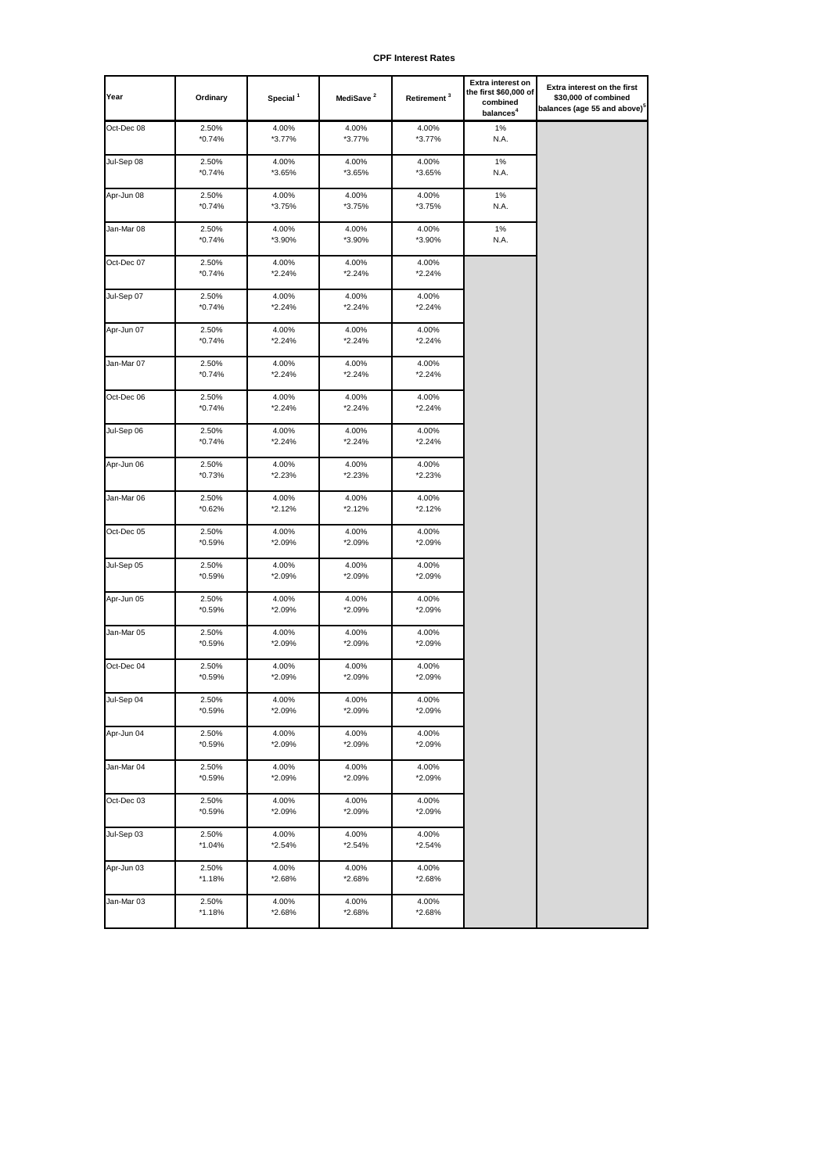| Year       | Ordinary          | Special <sup>1</sup> | MediSave <sup>2</sup> | Retirement <sup>3</sup> | Extra interest on<br>the first \$60,000 of<br>combined<br>balances <sup>4</sup> | Extra interest on the first<br>\$30,000 of combined<br>balances (age 55 and above) <sup>5</sup> |
|------------|-------------------|----------------------|-----------------------|-------------------------|---------------------------------------------------------------------------------|-------------------------------------------------------------------------------------------------|
| Oct-Dec 08 | 2.50%             | 4.00%                | 4.00%                 | 4.00%                   | 1%                                                                              |                                                                                                 |
|            | $*0.74%$          | *3.77%               | *3.77%                | *3.77%                  | N.A.                                                                            |                                                                                                 |
| Jul-Sep 08 | 2.50%             | 4.00%                | 4.00%                 | 4.00%                   | 1%                                                                              |                                                                                                 |
|            | $*0.74%$          | *3.65%               | *3.65%                | *3.65%                  | N.A.                                                                            |                                                                                                 |
| Apr-Jun 08 | 2.50%             | 4.00%                | 4.00%                 | 4.00%                   | 1%                                                                              |                                                                                                 |
|            | $*0.74%$          | *3.75%               | *3.75%                | *3.75%                  | N.A.                                                                            |                                                                                                 |
|            |                   | 4.00%                |                       |                         | 1%                                                                              |                                                                                                 |
| Jan-Mar 08 | 2.50%<br>$*0.74%$ | *3.90%               | 4.00%<br>*3.90%       | 4.00%<br>*3.90%         | N.A.                                                                            |                                                                                                 |
|            |                   |                      |                       |                         |                                                                                 |                                                                                                 |
| Oct-Dec 07 | 2.50%<br>$*0.74%$ | 4.00%<br>*2.24%      | 4.00%<br>*2.24%       | 4.00%<br>*2.24%         |                                                                                 |                                                                                                 |
|            |                   |                      |                       |                         |                                                                                 |                                                                                                 |
| Jul-Sep 07 | 2.50%             | 4.00%                | 4.00%                 | 4.00%                   |                                                                                 |                                                                                                 |
|            | $*0.74%$          | *2.24%               | *2.24%                | *2.24%                  |                                                                                 |                                                                                                 |
| Apr-Jun 07 | 2.50%             | 4.00%                | 4.00%                 | 4.00%                   |                                                                                 |                                                                                                 |
|            | $*0.74%$          | *2.24%               | *2.24%                | *2.24%                  |                                                                                 |                                                                                                 |
| Jan-Mar 07 | 2.50%             | 4.00%                | 4.00%                 | 4.00%                   |                                                                                 |                                                                                                 |
|            | $*0.74%$          | *2.24%               | *2.24%                | *2.24%                  |                                                                                 |                                                                                                 |
| Oct-Dec 06 | 2.50%             | 4.00%                | 4.00%                 | 4.00%                   |                                                                                 |                                                                                                 |
|            | $*0.74%$          | *2.24%               | *2.24%                | *2.24%                  |                                                                                 |                                                                                                 |
|            |                   |                      |                       |                         |                                                                                 |                                                                                                 |
| Jul-Sep 06 | 2.50%<br>$*0.74%$ | 4.00%<br>*2.24%      | 4.00%<br>*2.24%       | 4.00%<br>*2.24%         |                                                                                 |                                                                                                 |
|            |                   |                      |                       |                         |                                                                                 |                                                                                                 |
| Apr-Jun 06 | 2.50%             | 4.00%                | 4.00%                 | 4.00%                   |                                                                                 |                                                                                                 |
|            | $*0.73%$          | *2.23%               | *2.23%                | *2.23%                  |                                                                                 |                                                                                                 |
| Jan-Mar 06 | 2.50%             | 4.00%                | 4.00%                 | 4.00%                   |                                                                                 |                                                                                                 |
|            | $*0.62%$          | *2.12%               | *2.12%                | *2.12%                  |                                                                                 |                                                                                                 |
| Oct-Dec 05 | 2.50%             | 4.00%                | 4.00%                 | 4.00%                   |                                                                                 |                                                                                                 |
|            | $*0.59%$          | *2.09%               | *2.09%                | *2.09%                  |                                                                                 |                                                                                                 |
| Jul-Sep 05 | 2.50%             | 4.00%                | 4.00%                 | 4.00%                   |                                                                                 |                                                                                                 |
|            | $*0.59%$          | *2.09%               | *2.09%                | *2.09%                  |                                                                                 |                                                                                                 |
|            |                   |                      |                       |                         |                                                                                 |                                                                                                 |
| Apr-Jun 05 | 2.50%<br>$*0.59%$ | 4.00%<br>*2.09%      | 4.00%<br>*2.09%       | 4.00%<br>*2.09%         |                                                                                 |                                                                                                 |
|            |                   |                      |                       |                         |                                                                                 |                                                                                                 |
| Jan-Mar 05 | 2.50%             | 4.00%                | 4.00%                 | 4.00%                   |                                                                                 |                                                                                                 |
|            | $*0.59\%$         | *2.09%               | *2.09%                | *2.09%                  |                                                                                 |                                                                                                 |
| Oct-Dec 04 | 2.50%             | 4.00%                | 4.00%                 | 4.00%                   |                                                                                 |                                                                                                 |
|            | $*0.59%$          | *2.09%               | *2.09%                | *2.09%                  |                                                                                 |                                                                                                 |
| Jul-Sep 04 | 2.50%             | 4.00%                | 4.00%                 | 4.00%                   |                                                                                 |                                                                                                 |
|            | *0.59%            | *2.09%               | *2.09%                | *2.09%                  |                                                                                 |                                                                                                 |
| Apr-Jun 04 | 2.50%             | 4.00%                | 4.00%                 | 4.00%                   |                                                                                 |                                                                                                 |
|            | $*0.59%$          | *2.09%               | *2.09%                | *2.09%                  |                                                                                 |                                                                                                 |
|            |                   |                      |                       |                         |                                                                                 |                                                                                                 |
| Jan-Mar 04 | 2.50%<br>$*0.59%$ | 4.00%<br>*2.09%      | 4.00%<br>*2.09%       | 4.00%<br>*2.09%         |                                                                                 |                                                                                                 |
|            |                   |                      |                       |                         |                                                                                 |                                                                                                 |
| Oct-Dec 03 | 2.50%             | 4.00%                | 4.00%                 | 4.00%                   |                                                                                 |                                                                                                 |
|            | $*0.59%$          | *2.09%               | *2.09%                | *2.09%                  |                                                                                 |                                                                                                 |
| Jul-Sep 03 | 2.50%             | 4.00%                | 4.00%                 | 4.00%                   |                                                                                 |                                                                                                 |
|            | $*1.04%$          | *2.54%               | *2.54%                | *2.54%                  |                                                                                 |                                                                                                 |
| Apr-Jun 03 | 2.50%             | 4.00%                | 4.00%                 | 4.00%                   |                                                                                 |                                                                                                 |
|            | *1.18%            | *2.68%               | *2.68%                | *2.68%                  |                                                                                 |                                                                                                 |
| Jan-Mar 03 | 2.50%             | 4.00%                | 4.00%                 | 4.00%                   |                                                                                 |                                                                                                 |
|            | $*1.18%$          | *2.68%               | *2.68%                | *2.68%                  |                                                                                 |                                                                                                 |
|            |                   |                      |                       |                         |                                                                                 |                                                                                                 |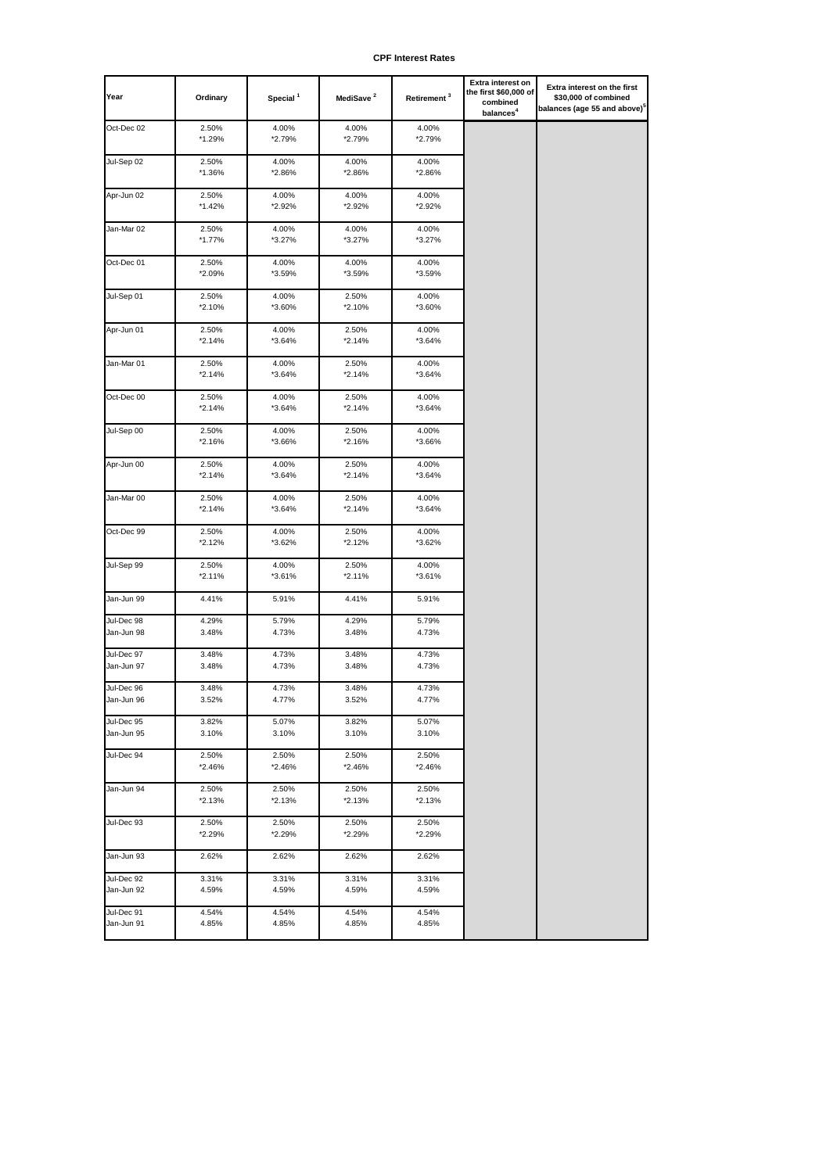| Year                     | Ordinary           | Special <sup>1</sup> | MediSave <sup>2</sup> | Retirement <sup>3</sup> | Extra interest on<br>the first \$60,000 of<br>combined<br>balances <sup>4</sup> | Extra interest on the first<br>\$30,000 of combined<br>balances (age 55 and above)° |
|--------------------------|--------------------|----------------------|-----------------------|-------------------------|---------------------------------------------------------------------------------|-------------------------------------------------------------------------------------|
| Oct-Dec 02               | 2.50%<br>$*1.29%$  | 4.00%<br>*2.79%      | 4.00%<br>*2.79%       | 4.00%<br>*2.79%         |                                                                                 |                                                                                     |
| Jul-Sep 02               | 2.50%<br>*1.36%    | 4.00%<br>*2.86%      | 4.00%<br>*2.86%       | 4.00%<br>*2.86%         |                                                                                 |                                                                                     |
| Apr-Jun 02               | 2.50%<br>$*1.42%$  | 4.00%<br>*2.92%      | 4.00%<br>*2.92%       | 4.00%<br>*2.92%         |                                                                                 |                                                                                     |
| Jan-Mar 02               | 2.50%<br>$*1.77\%$ | 4.00%<br>*3.27%      | 4.00%<br>*3.27%       | 4.00%<br>*3.27%         |                                                                                 |                                                                                     |
| Oct-Dec 01               | 2.50%<br>*2.09%    | 4.00%<br>*3.59%      | 4.00%<br>*3.59%       | 4.00%<br>*3.59%         |                                                                                 |                                                                                     |
| Jul-Sep 01               | 2.50%<br>*2.10%    | 4.00%<br>*3.60%      | 2.50%<br>*2.10%       | 4.00%<br>*3.60%         |                                                                                 |                                                                                     |
| Apr-Jun 01               | 2.50%<br>$*2.14%$  | 4.00%<br>*3.64%      | 2.50%<br>*2.14%       | 4.00%<br>*3.64%         |                                                                                 |                                                                                     |
| Jan-Mar 01               | 2.50%<br>$*2.14%$  | 4.00%<br>*3.64%      | 2.50%<br>*2.14%       | 4.00%<br>$*3.64%$       |                                                                                 |                                                                                     |
| Oct-Dec 00               | 2.50%<br>$*2.14%$  | 4.00%<br>*3.64%      | 2.50%<br>*2.14%       | 4.00%<br>*3.64%         |                                                                                 |                                                                                     |
| Jul-Sep 00               | 2.50%<br>*2.16%    | 4.00%<br>*3.66%      | 2.50%<br>*2.16%       | 4.00%<br>*3.66%         |                                                                                 |                                                                                     |
| Apr-Jun 00               | 2.50%<br>$*2.14%$  | 4.00%<br>*3.64%      | 2.50%<br>*2.14%       | 4.00%<br>*3.64%         |                                                                                 |                                                                                     |
| Jan-Mar 00               | 2.50%<br>$*2.14%$  | 4.00%<br>*3.64%      | 2.50%<br>*2.14%       | 4.00%<br>*3.64%         |                                                                                 |                                                                                     |
| Oct-Dec 99               | 2.50%<br>*2.12%    | 4.00%<br>*3.62%      | 2.50%<br>*2.12%       | 4.00%<br>*3.62%         |                                                                                 |                                                                                     |
| Jul-Sep 99               | 2.50%<br>$*2.11%$  | 4.00%<br>*3.61%      | 2.50%<br>*2.11%       | 4.00%<br>*3.61%         |                                                                                 |                                                                                     |
| Jan-Jun 99               | 4.41%              | 5.91%                | 4.41%                 | 5.91%                   |                                                                                 |                                                                                     |
| Jul-Dec 98<br>Jan-Jun 98 | 4.29%<br>3.48%     | 5.79%<br>4.73%       | 4.29%<br>3.48%        | 5.79%<br>4.73%          |                                                                                 |                                                                                     |
| Jul-Dec 97<br>Jan-Jun 97 | 3.48%<br>3.48%     | 4.73%<br>4.73%       | 3.48%<br>3.48%        | 4.73%<br>4.73%          |                                                                                 |                                                                                     |
| Jul-Dec 96<br>Jan-Jun 96 | 3.48%<br>3.52%     | 4.73%<br>4.77%       | 3.48%<br>3.52%        | 4.73%<br>4.77%          |                                                                                 |                                                                                     |
| Jul-Dec 95<br>Jan-Jun 95 | 3.82%<br>3.10%     | 5.07%<br>3.10%       | 3.82%<br>3.10%        | 5.07%<br>3.10%          |                                                                                 |                                                                                     |
| Jul-Dec 94               | 2.50%<br>*2.46%    | 2.50%<br>*2.46%      | 2.50%<br>*2.46%       | 2.50%<br>*2.46%         |                                                                                 |                                                                                     |
| Jan-Jun 94               | 2.50%<br>$*2.13%$  | 2.50%<br>*2.13%      | 2.50%<br>*2.13%       | 2.50%<br>*2.13%         |                                                                                 |                                                                                     |
| Jul-Dec 93               | 2.50%<br>*2.29%    | 2.50%<br>*2.29%      | 2.50%<br>*2.29%       | 2.50%<br>*2.29%         |                                                                                 |                                                                                     |
| Jan-Jun 93               | 2.62%              | 2.62%                | 2.62%                 | 2.62%                   |                                                                                 |                                                                                     |
| Jul-Dec 92<br>Jan-Jun 92 | 3.31%<br>4.59%     | 3.31%<br>4.59%       | 3.31%<br>4.59%        | 3.31%<br>4.59%          |                                                                                 |                                                                                     |
| Jul-Dec 91<br>Jan-Jun 91 | 4.54%<br>4.85%     | 4.54%<br>4.85%       | 4.54%<br>4.85%        | 4.54%<br>4.85%          |                                                                                 |                                                                                     |